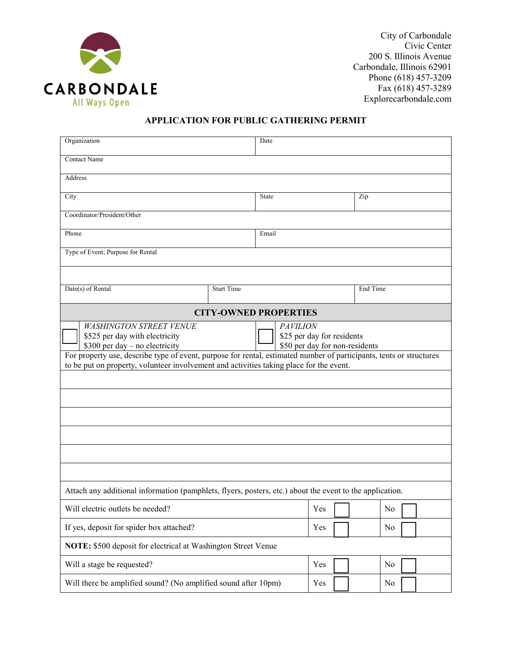

City of Carbondale Civic Center 200 S. Illinois Avenue Carbondale, Illinois 62901 Phone (618) 457-3209 Fax (618) 457-3289 Explorecarbondale.com

## **APPLICATION FOR PUBLIC GATHERING PERMIT**

| Organization                                                                                                                                                                                                                                                                                                                                                                                             |                   | Date  |  |     |          |  |  |
|----------------------------------------------------------------------------------------------------------------------------------------------------------------------------------------------------------------------------------------------------------------------------------------------------------------------------------------------------------------------------------------------------------|-------------------|-------|--|-----|----------|--|--|
| <b>Contact Name</b>                                                                                                                                                                                                                                                                                                                                                                                      |                   |       |  |     |          |  |  |
| Address                                                                                                                                                                                                                                                                                                                                                                                                  |                   |       |  |     |          |  |  |
| City                                                                                                                                                                                                                                                                                                                                                                                                     |                   | State |  | Zip |          |  |  |
| Coordinator/President/Other                                                                                                                                                                                                                                                                                                                                                                              |                   |       |  |     |          |  |  |
| Phone                                                                                                                                                                                                                                                                                                                                                                                                    | Email             |       |  |     |          |  |  |
| Type of Event; Purpose for Rental                                                                                                                                                                                                                                                                                                                                                                        |                   |       |  |     |          |  |  |
|                                                                                                                                                                                                                                                                                                                                                                                                          |                   |       |  |     |          |  |  |
| Date(s) of Rental                                                                                                                                                                                                                                                                                                                                                                                        | <b>Start Time</b> |       |  |     | End Time |  |  |
| <b>CITY-OWNED PROPERTIES</b>                                                                                                                                                                                                                                                                                                                                                                             |                   |       |  |     |          |  |  |
| <b>WASHINGTON STREET VENUE</b><br><b>PAVILION</b><br>\$525 per day with electricity<br>\$25 per day for residents<br>$$300$ per day – no electricity<br>\$50 per day for non-residents<br>For property use, describe type of event, purpose for rental, estimated number of participants, tents or structures<br>to be put on property, volunteer involvement and activities taking place for the event. |                   |       |  |     |          |  |  |
| Attach any additional information (pamphlets, flyers, posters, etc.) about the event to the application.                                                                                                                                                                                                                                                                                                 |                   |       |  |     |          |  |  |
| Will electric outlets be needed?                                                                                                                                                                                                                                                                                                                                                                         |                   | Yes   |  | No  |          |  |  |
| If yes, deposit for spider box attached?                                                                                                                                                                                                                                                                                                                                                                 |                   | Yes   |  | No  |          |  |  |
| NOTE: \$500 deposit for electrical at Washington Street Venue                                                                                                                                                                                                                                                                                                                                            |                   |       |  |     |          |  |  |
| Will a stage be requested?                                                                                                                                                                                                                                                                                                                                                                               |                   | Yes   |  | No  |          |  |  |
| Will there be amplified sound? (No amplified sound after 10pm)                                                                                                                                                                                                                                                                                                                                           |                   | Yes   |  | No  |          |  |  |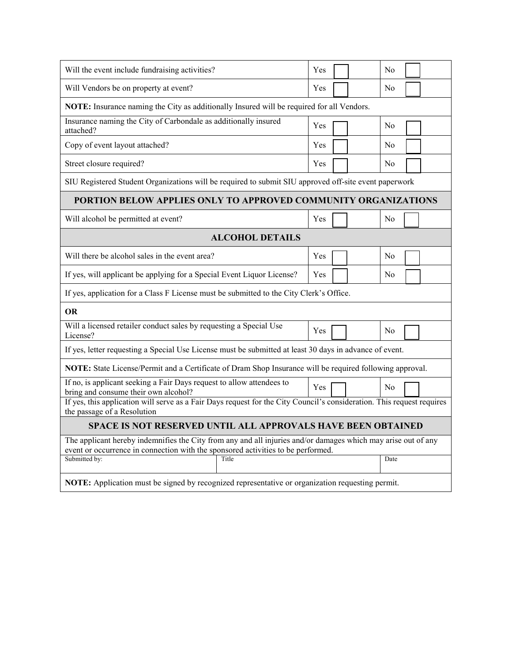| Will the event include fundraising activities?                                                                                                                                                    | Yes            | N <sub>0</sub> |  |  |  |  |  |
|---------------------------------------------------------------------------------------------------------------------------------------------------------------------------------------------------|----------------|----------------|--|--|--|--|--|
| Will Vendors be on property at event?                                                                                                                                                             | Yes            | N <sub>0</sub> |  |  |  |  |  |
| NOTE: Insurance naming the City as additionally Insured will be required for all Vendors.                                                                                                         |                |                |  |  |  |  |  |
| Insurance naming the City of Carbondale as additionally insured<br>attached?                                                                                                                      | Yes            | No             |  |  |  |  |  |
| Copy of event layout attached?                                                                                                                                                                    | Yes            | N <sub>0</sub> |  |  |  |  |  |
| Street closure required?                                                                                                                                                                          | Yes            | No             |  |  |  |  |  |
| SIU Registered Student Organizations will be required to submit SIU approved off-site event paperwork                                                                                             |                |                |  |  |  |  |  |
| PORTION BELOW APPLIES ONLY TO APPROVED COMMUNITY ORGANIZATIONS                                                                                                                                    |                |                |  |  |  |  |  |
| Will alcohol be permitted at event?                                                                                                                                                               | Yes            | N <sub>0</sub> |  |  |  |  |  |
| <b>ALCOHOL DETAILS</b>                                                                                                                                                                            |                |                |  |  |  |  |  |
| Will there be alcohol sales in the event area?                                                                                                                                                    | Yes            | N <sub>0</sub> |  |  |  |  |  |
| If yes, will applicant be applying for a Special Event Liquor License?                                                                                                                            | Yes            | N <sub>0</sub> |  |  |  |  |  |
| If yes, application for a Class F License must be submitted to the City Clerk's Office.                                                                                                           |                |                |  |  |  |  |  |
| <b>OR</b>                                                                                                                                                                                         |                |                |  |  |  |  |  |
| Will a licensed retailer conduct sales by requesting a Special Use<br>License?                                                                                                                    | No             |                |  |  |  |  |  |
| If yes, letter requesting a Special Use License must be submitted at least 30 days in advance of event.                                                                                           |                |                |  |  |  |  |  |
| NOTE: State License/Permit and a Certificate of Dram Shop Insurance will be required following approval.                                                                                          |                |                |  |  |  |  |  |
| If no, is applicant seeking a Fair Days request to allow attendees to<br>bring and consume their own alcohol?                                                                                     | N <sub>0</sub> |                |  |  |  |  |  |
| If yes, this application will serve as a Fair Days request for the City Council's consideration. This request requires<br>the passage of a Resolution                                             |                |                |  |  |  |  |  |
| <b>SPACE IS NOT RESERVED UNTIL ALL APPROVALS HAVE BEEN OBTAINED</b>                                                                                                                               |                |                |  |  |  |  |  |
| The applicant hereby indemnifies the City from any and all injuries and/or damages which may arise out of any<br>event or occurrence in connection with the sponsored activities to be performed. |                |                |  |  |  |  |  |
| Submitted by:<br>Title                                                                                                                                                                            | Date           |                |  |  |  |  |  |
| NOTE: Application must be signed by recognized representative or organization requesting permit.                                                                                                  |                |                |  |  |  |  |  |